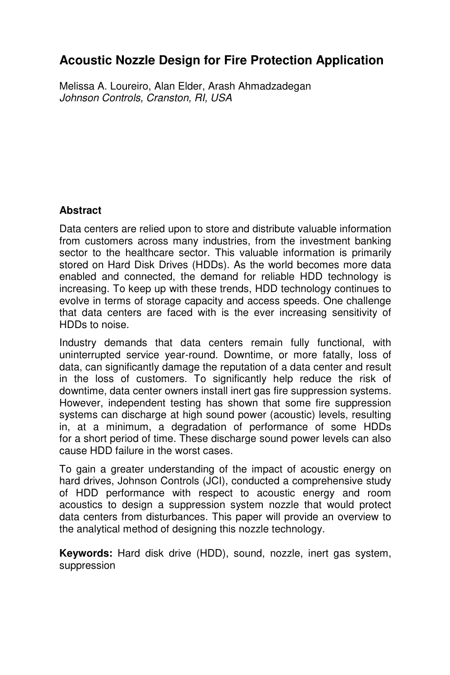# **Acoustic Nozzle Design for Fire Protection Application**

Melissa A. Loureiro, Alan Elder, Arash Ahmadzadegan Johnson Controls, Cranston, RI, USA

# **Abstract**

Data centers are relied upon to store and distribute valuable information from customers across many industries, from the investment banking sector to the healthcare sector. This valuable information is primarily stored on Hard Disk Drives (HDDs). As the world becomes more data enabled and connected, the demand for reliable HDD technology is increasing. To keep up with these trends, HDD technology continues to evolve in terms of storage capacity and access speeds. One challenge that data centers are faced with is the ever increasing sensitivity of HDDs to noise.

Industry demands that data centers remain fully functional, with uninterrupted service year-round. Downtime, or more fatally, loss of data, can significantly damage the reputation of a data center and result in the loss of customers. To significantly help reduce the risk of downtime, data center owners install inert gas fire suppression systems. However, independent testing has shown that some fire suppression systems can discharge at high sound power (acoustic) levels, resulting in, at a minimum, a degradation of performance of some HDDs for a short period of time. These discharge sound power levels can also cause HDD failure in the worst cases.

To gain a greater understanding of the impact of acoustic energy on hard drives, Johnson Controls (JCI), conducted a comprehensive study of HDD performance with respect to acoustic energy and room acoustics to design a suppression system nozzle that would protect data centers from disturbances. This paper will provide an overview to the analytical method of designing this nozzle technology.

**Keywords:** Hard disk drive (HDD), sound, nozzle, inert gas system, suppression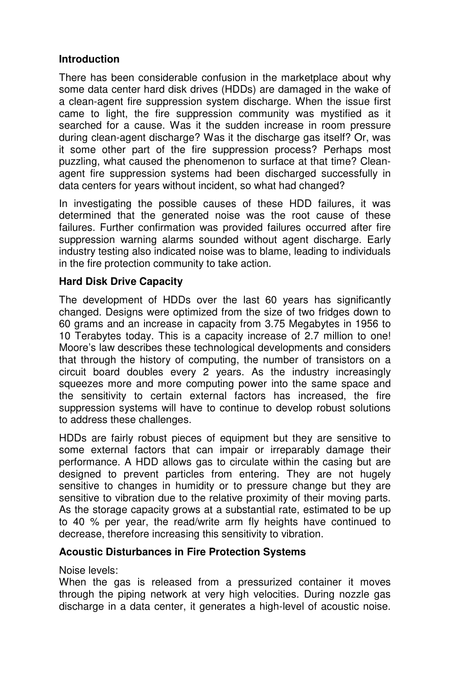## **Introduction**

There has been considerable confusion in the marketplace about why some data center hard disk drives (HDDs) are damaged in the wake of a clean-agent fire suppression system discharge. When the issue first came to light, the fire suppression community was mystified as it searched for a cause. Was it the sudden increase in room pressure during clean-agent discharge? Was it the discharge gas itself? Or, was it some other part of the fire suppression process? Perhaps most puzzling, what caused the phenomenon to surface at that time? Cleanagent fire suppression systems had been discharged successfully in data centers for years without incident, so what had changed?

In investigating the possible causes of these HDD failures, it was determined that the generated noise was the root cause of these failures. Further confirmation was provided failures occurred after fire suppression warning alarms sounded without agent discharge. Early industry testing also indicated noise was to blame, leading to individuals in the fire protection community to take action.

# **Hard Disk Drive Capacity**

The development of HDDs over the last 60 years has significantly changed. Designs were optimized from the size of two fridges down to 60 grams and an increase in capacity from 3.75 Megabytes in 1956 to 10 Terabytes today. This is a capacity increase of 2.7 million to one! Moore's law describes these technological developments and considers that through the history of computing, the number of transistors on a circuit board doubles every 2 years. As the industry increasingly squeezes more and more computing power into the same space and the sensitivity to certain external factors has increased, the fire suppression systems will have to continue to develop robust solutions to address these challenges.

HDDs are fairly robust pieces of equipment but they are sensitive to some external factors that can impair or irreparably damage their performance. A HDD allows gas to circulate within the casing but are designed to prevent particles from entering. They are not hugely sensitive to changes in humidity or to pressure change but they are sensitive to vibration due to the relative proximity of their moving parts. As the storage capacity grows at a substantial rate, estimated to be up to 40 % per year, the read/write arm fly heights have continued to decrease, therefore increasing this sensitivity to vibration.

## **Acoustic Disturbances in Fire Protection Systems**

Noise levels:

When the gas is released from a pressurized container it moves through the piping network at very high velocities. During nozzle gas discharge in a data center, it generates a high-level of acoustic noise.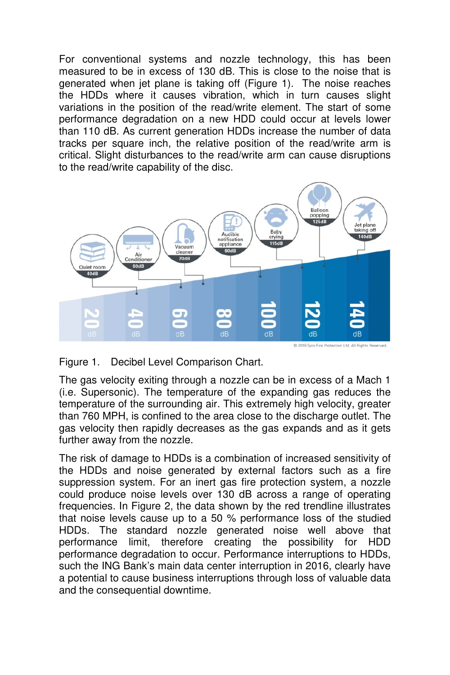For conventional systems and nozzle technology, this has been measured to be in excess of 130 dB. This is close to the noise that is generated when jet plane is taking off (Figure 1). The noise reaches the HDDs where it causes vibration, which in turn causes slight variations in the position of the read/write element. The start of some performance degradation on a new HDD could occur at levels lower than 110 dB. As current generation HDDs increase the number of data tracks per square inch, the relative position of the read/write arm is critical. Slight disturbances to the read/write arm can cause disruptions to the read/write capability of the disc.



Figure 1. Decibel Level Comparison Chart.

The gas velocity exiting through a nozzle can be in excess of a Mach 1 (i.e. Supersonic). The temperature of the expanding gas reduces the temperature of the surrounding air. This extremely high velocity, greater than 760 MPH, is confined to the area close to the discharge outlet. The gas velocity then rapidly decreases as the gas expands and as it gets further away from the nozzle.

The risk of damage to HDDs is a combination of increased sensitivity of the HDDs and noise generated by external factors such as a fire suppression system. For an inert gas fire protection system, a nozzle could produce noise levels over 130 dB across a range of operating frequencies. In Figure 2, the data shown by the red trendline illustrates that noise levels cause up to a 50 % performance loss of the studied HDDs. The standard nozzle generated noise well above that performance limit, therefore creating the possibility for HDD performance degradation to occur. Performance interruptions to HDDs, such the ING Bank's main data center interruption in 2016, clearly have a potential to cause business interruptions through loss of valuable data and the consequential downtime.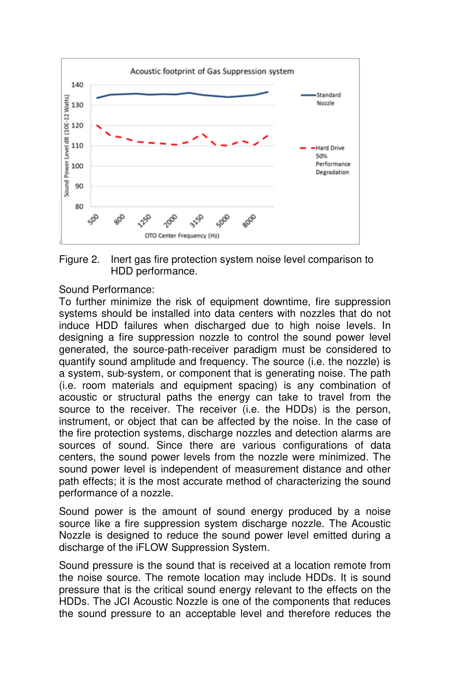



Sound Performance:

To further minimize the risk of equipment downtime, fire suppression systems should be installed into data centers with nozzles that do not induce HDD failures when discharged due to high noise levels. In designing a fire suppression nozzle to control the sound power level generated, the source-path-receiver paradigm must be considered to quantify sound amplitude and frequency. The source (i.e. the nozzle) is a system, sub-system, or component that is generating noise. The path (i.e. room materials and equipment spacing) is any combination of acoustic or structural paths the energy can take to travel from the source to the receiver. The receiver (i.e. the HDDs) is the person, instrument, or object that can be affected by the noise. In the case of the fire protection systems, discharge nozzles and detection alarms are sources of sound. Since there are various configurations of data centers, the sound power levels from the nozzle were minimized. The sound power level is independent of measurement distance and other path effects; it is the most accurate method of characterizing the sound performance of a nozzle.

Sound power is the amount of sound energy produced by a noise source like a fire suppression system discharge nozzle. The Acoustic Nozzle is designed to reduce the sound power level emitted during a discharge of the iFLOW Suppression System.

Sound pressure is the sound that is received at a location remote from the noise source. The remote location may include HDDs. It is sound pressure that is the critical sound energy relevant to the effects on the HDDs. The JCI Acoustic Nozzle is one of the components that reduces the sound pressure to an acceptable level and therefore reduces the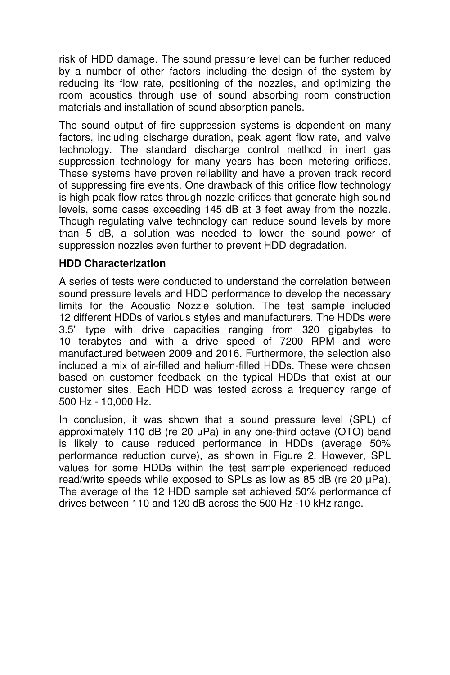risk of HDD damage. The sound pressure level can be further reduced by a number of other factors including the design of the system by reducing its flow rate, positioning of the nozzles, and optimizing the room acoustics through use of sound absorbing room construction materials and installation of sound absorption panels.

The sound output of fire suppression systems is dependent on many factors, including discharge duration, peak agent flow rate, and valve technology. The standard discharge control method in inert gas suppression technology for many years has been metering orifices. These systems have proven reliability and have a proven track record of suppressing fire events. One drawback of this orifice flow technology is high peak flow rates through nozzle orifices that generate high sound levels, some cases exceeding 145 dB at 3 feet away from the nozzle. Though regulating valve technology can reduce sound levels by more than 5 dB, a solution was needed to lower the sound power of suppression nozzles even further to prevent HDD degradation.

#### **HDD Characterization**

A series of tests were conducted to understand the correlation between sound pressure levels and HDD performance to develop the necessary limits for the Acoustic Nozzle solution. The test sample included 12 different HDDs of various styles and manufacturers. The HDDs were 3.5" type with drive capacities ranging from 320 gigabytes to 10 terabytes and with a drive speed of 7200 RPM and were manufactured between 2009 and 2016. Furthermore, the selection also included a mix of air-filled and helium-filled HDDs. These were chosen based on customer feedback on the typical HDDs that exist at our customer sites. Each HDD was tested across a frequency range of 500 Hz - 10,000 Hz.

In conclusion, it was shown that a sound pressure level (SPL) of approximately 110 dB (re 20 µPa) in any one-third octave (OTO) band is likely to cause reduced performance in HDDs (average 50% performance reduction curve), as shown in Figure 2. However, SPL values for some HDDs within the test sample experienced reduced read/write speeds while exposed to SPLs as low as 85 dB (re 20 µPa). The average of the 12 HDD sample set achieved 50% performance of drives between 110 and 120 dB across the 500 Hz -10 kHz range.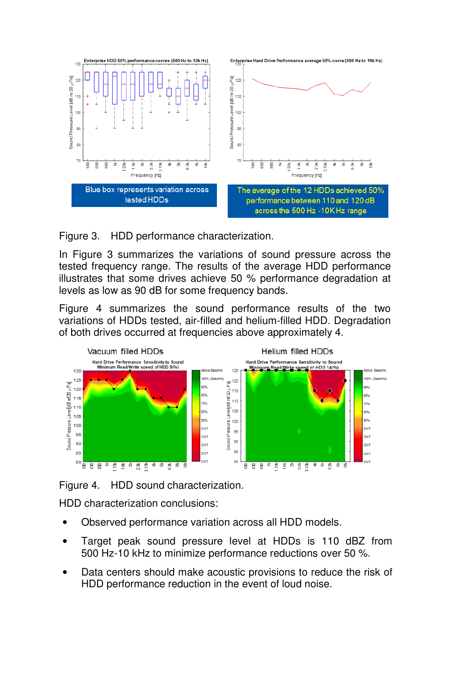

Figure 3. HDD performance characterization.

In Figure 3 summarizes the variations of sound pressure across the tested frequency range. The results of the average HDD performance illustrates that some drives achieve 50 % performance degradation at levels as low as 90 dB for some frequency bands.

Figure 4 summarizes the sound performance results of the two variations of HDDs tested, air-filled and helium-filled HDD. Degradation of both drives occurred at frequencies above approximately 4.



Figure 4. HDD sound characterization.

HDD characterization conclusions:

- Observed performance variation across all HDD models.
- Target peak sound pressure level at HDDs is 110 dBZ from 500 Hz-10 kHz to minimize performance reductions over 50 %.
- Data centers should make acoustic provisions to reduce the risk of HDD performance reduction in the event of loud noise.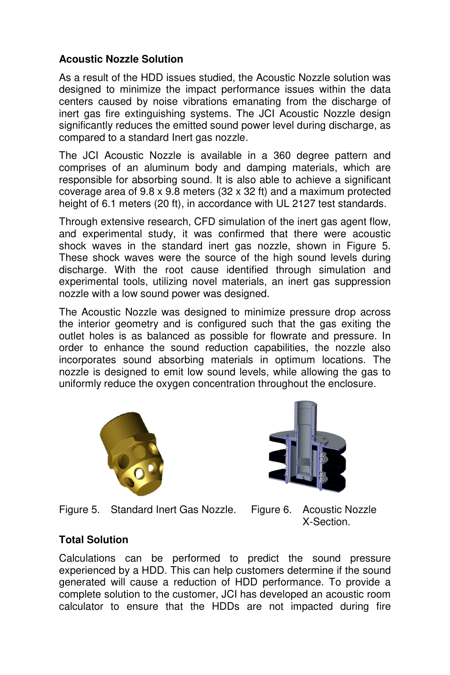## **Acoustic Nozzle Solution**

As a result of the HDD issues studied, the Acoustic Nozzle solution was designed to minimize the impact performance issues within the data centers caused by noise vibrations emanating from the discharge of inert gas fire extinguishing systems. The JCI Acoustic Nozzle design significantly reduces the emitted sound power level during discharge, as compared to a standard Inert gas nozzle.

The JCI Acoustic Nozzle is available in a 360 degree pattern and comprises of an aluminum body and damping materials, which are responsible for absorbing sound. It is also able to achieve a significant coverage area of 9.8 x 9.8 meters (32 x 32 ft) and a maximum protected height of 6.1 meters (20 ft), in accordance with UL 2127 test standards.

Through extensive research, CFD simulation of the inert gas agent flow, and experimental study, it was confirmed that there were acoustic shock waves in the standard inert gas nozzle, shown in Figure 5. These shock waves were the source of the high sound levels during discharge. With the root cause identified through simulation and experimental tools, utilizing novel materials, an inert gas suppression nozzle with a low sound power was designed.

The Acoustic Nozzle was designed to minimize pressure drop across the interior geometry and is configured such that the gas exiting the outlet holes is as balanced as possible for flowrate and pressure. In order to enhance the sound reduction capabilities, the nozzle also incorporates sound absorbing materials in optimum locations. The nozzle is designed to emit low sound levels, while allowing the gas to uniformly reduce the oxygen concentration throughout the enclosure.



Figure 5. Standard Inert Gas Nozzle. Figure 6. Acoustic Nozzle



X-Section.

## **Total Solution**

Calculations can be performed to predict the sound pressure experienced by a HDD. This can help customers determine if the sound generated will cause a reduction of HDD performance. To provide a complete solution to the customer, JCI has developed an acoustic room calculator to ensure that the HDDs are not impacted during fire